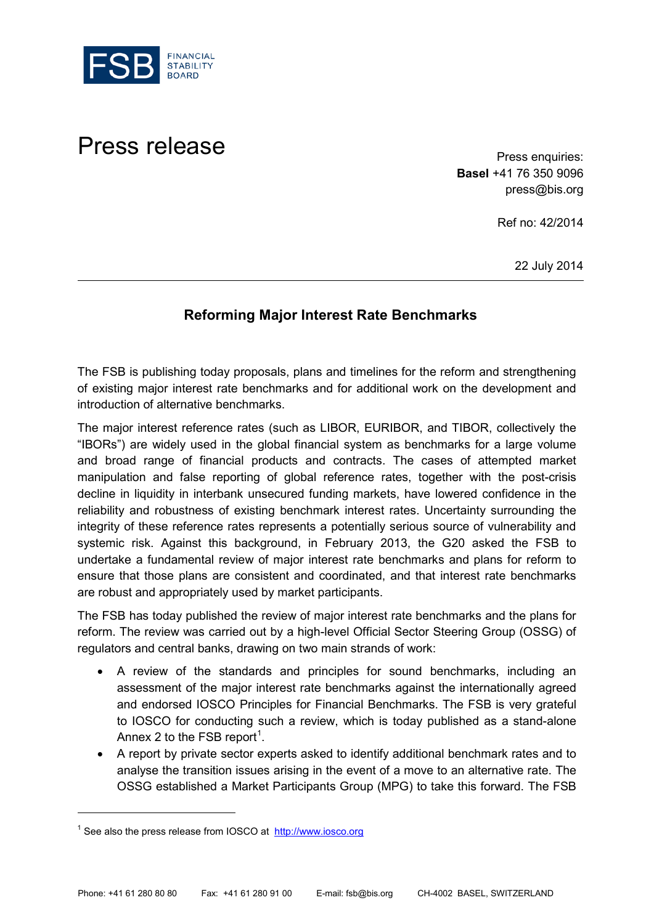

## Press release **Press release** Press enquiries:

**Basel** +41 76 350 9096 press@bis.org

Ref no: 42/2014

22 July 2014

## **Reforming Major Interest Rate Benchmarks**

The FSB is publishing today proposals, plans and timelines for the reform and strengthening of existing major interest rate benchmarks and for additional work on the development and introduction of alternative benchmarks.

The major interest reference rates (such as LIBOR, EURIBOR, and TIBOR, collectively the "IBORs") are widely used in the global financial system as benchmarks for a large volume and broad range of financial products and contracts. The cases of attempted market manipulation and false reporting of global reference rates, together with the post-crisis decline in liquidity in interbank unsecured funding markets, have lowered confidence in the reliability and robustness of existing benchmark interest rates. Uncertainty surrounding the integrity of these reference rates represents a potentially serious source of vulnerability and systemic risk. Against this background, in February 2013, the G20 asked the FSB to undertake a fundamental review of major interest rate benchmarks and plans for reform to ensure that those plans are consistent and coordinated, and that interest rate benchmarks are robust and appropriately used by market participants.

The FSB has today published the review of major interest rate benchmarks and the plans for reform. The review was carried out by a high-level Official Sector Steering Group (OSSG) of regulators and central banks, drawing on two main strands of work:

- A review of the standards and principles for sound benchmarks, including an assessment of the major interest rate benchmarks against the internationally agreed and endorsed IOSCO Principles for Financial Benchmarks. The FSB is very grateful to IOSCO for conducting such a review, which is today published as a stand-alone Annex 2 to the FSB report<sup>[1](#page-0-0)</sup>.
- A report by private sector experts asked to identify additional benchmark rates and to analyse the transition issues arising in the event of a move to an alternative rate. The OSSG established a Market Participants Group (MPG) to take this forward. The FSB

 $\overline{a}$ 

<span id="page-0-0"></span><sup>&</sup>lt;sup>1</sup> See also the press release from IOSCO at [http://www.iosco.org](http://www.iosco.org/)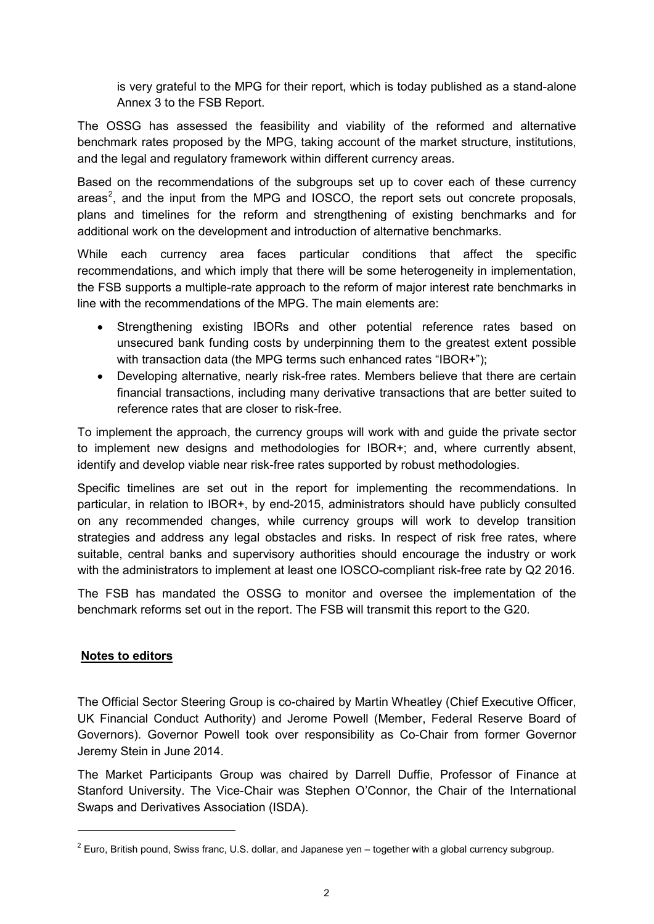is very grateful to the MPG for their report, which is today published as a stand-alone Annex 3 to the FSB Report.

The OSSG has assessed the feasibility and viability of the reformed and alternative benchmark rates proposed by the MPG, taking account of the market structure, institutions, and the legal and regulatory framework within different currency areas.

Based on the recommendations of the subgroups set up to cover each of these currency areas<sup>[2](#page-1-0)</sup>, and the input from the MPG and IOSCO, the report sets out concrete proposals, plans and timelines for the reform and strengthening of existing benchmarks and for additional work on the development and introduction of alternative benchmarks.

While each currency area faces particular conditions that affect the specific recommendations, and which imply that there will be some heterogeneity in implementation, the FSB supports a multiple-rate approach to the reform of major interest rate benchmarks in line with the recommendations of the MPG. The main elements are:

- Strengthening existing IBORs and other potential reference rates based on unsecured bank funding costs by underpinning them to the greatest extent possible with transaction data (the MPG terms such enhanced rates "IBOR+");
- Developing alternative, nearly risk-free rates. Members believe that there are certain financial transactions, including many derivative transactions that are better suited to reference rates that are closer to risk-free.

To implement the approach, the currency groups will work with and guide the private sector to implement new designs and methodologies for IBOR+; and, where currently absent, identify and develop viable near risk-free rates supported by robust methodologies.

Specific timelines are set out in the report for implementing the recommendations. In particular, in relation to IBOR+, by end-2015, administrators should have publicly consulted on any recommended changes, while currency groups will work to develop transition strategies and address any legal obstacles and risks. In respect of risk free rates, where suitable, central banks and supervisory authorities should encourage the industry or work with the administrators to implement at least one IOSCO-compliant risk-free rate by Q2 2016.

The FSB has mandated the OSSG to monitor and oversee the implementation of the benchmark reforms set out in the report. The FSB will transmit this report to the G20.

## **Notes to editors**

-

The Official Sector Steering Group is co-chaired by Martin Wheatley (Chief Executive Officer, UK Financial Conduct Authority) and Jerome Powell (Member, Federal Reserve Board of Governors). Governor Powell took over responsibility as Co-Chair from former Governor Jeremy Stein in June 2014.

The Market Participants Group was chaired by Darrell Duffie, Professor of Finance at Stanford University. The Vice-Chair was Stephen O'Connor, the Chair of the International Swaps and Derivatives Association (ISDA).

<span id="page-1-0"></span> $2$  Euro, British pound, Swiss franc, U.S. dollar, and Japanese yen – together with a global currency subgroup.